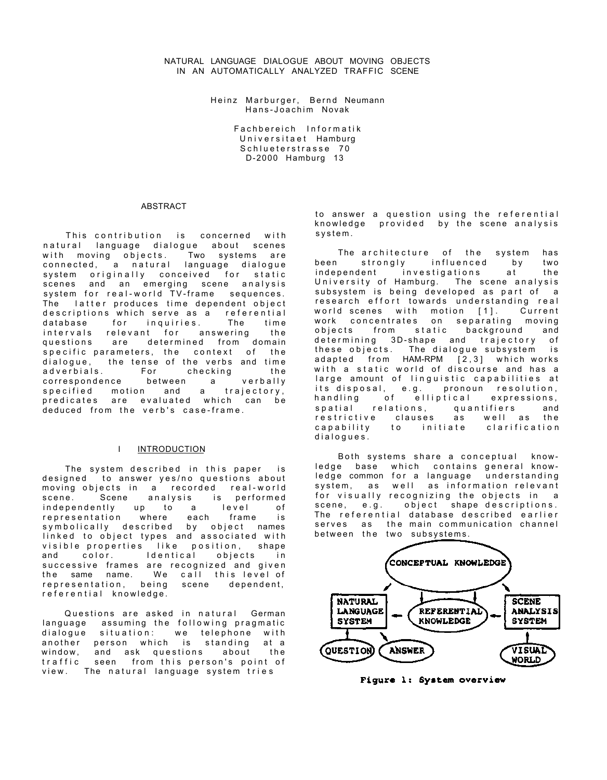Heinz Marburger, Bernd Neumann Hans-Joachim Novak

> Fachbereich Informatik Universitaet Hamburg Schlueterstrasse 70 D-2000 Hamburg 13

#### ABSTRACT

This contribution is concerned with natural language dialogue about scenes<br>with moving obiects. Two systems are with moving objects. connected, a natural language dialogue system originally conceived for static scenes and an emerging scene analysis system for real-world TV-frame sequences. The latter produces time dependent object descriptions which serve as a referential database for inquiries. The time intervals relevant for answering the questions are determined from domain specific parameters, the context of the dialogue, the tense of the verbs and time adverbials. For checking the correspondence between a verbally<br>specified motion and a trajectory, specified motion and a trajectory, predicates are evaluated which can be deduced from the verb's case-frame.

### I INTRODUCTION

The system described in this paper is designed to answer yes/no questions about moving objects in a recorded real-world scene. Scene analysis is performed independently up to a level of representation where each frame is symbolically described by object names linked to object types and associated with visible properties like position, shape and color. Identical objects in successive frames are recognized and given the same name. We call this level of representation, being scene dependent, referential knowledge.

Questions are asked in natural German language assuming the following pragmatic dialogue situation: we telephone with another person which is standing at a window, and ask questions about the traffic seen from this person's point of view. The natural language system tries

to answer a question using the referential knowledge provided by the scene analysis system .

The architecture of the system has been strongly influenced by two independent investigations at the University of Hamburg. The scene analysis subsystem is being developed as part of a research effort towards understanding real world scenes with motion [1]. Current work concentrates on separating moving objects from static background and determining 3D-shape and trajectory of these objects. The dialogue subsystem is adapted from HAM-RPM  $[2,3]$  which works with a static world of discourse and has a large amount of linguistic capabilities at its disposal, e.g. pronoun resolution, handling of elliptical expressions, spatial relations, quantifiers and restrictive clauses as well as the<br>capability to initiate clarification to initiate dialogues .

Both systems share a conceptual knowledge base which contains general knowledge common for a language understanding system, as well as information relevant for visually recognizing the objects in a<br>scene, e.g. object shape descriptions. object shape descriptions. The referential database described earlier serves as the main communication channel between the two subsystems.



Figure 1: System overview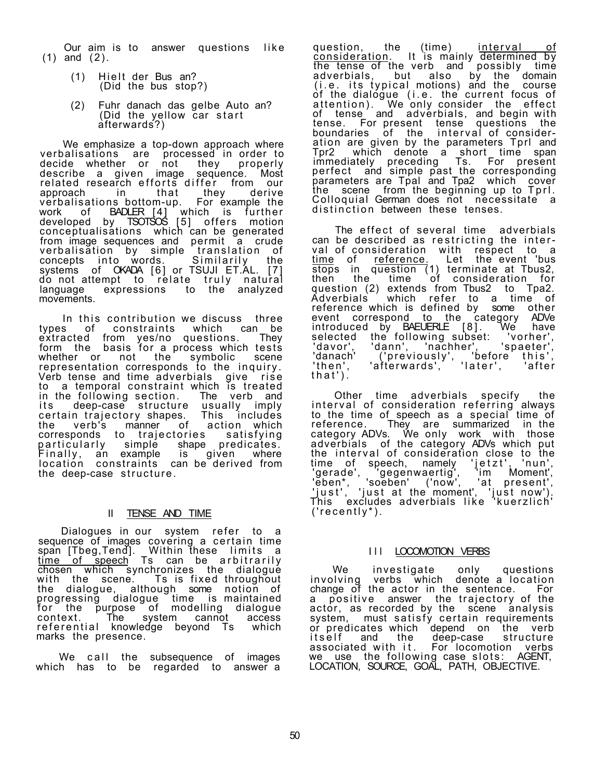Our aim is to answer questions like (1) and (2).

- $(1)$  Hielt der Bus an? (Did the bus stop?)
- (2) Fuhr danach das gelbe Auto an? (Did the yellow car start afterwards?)

We emphasize a top-down approach where verbalisations are processed in order to decide whether or not they properly describe a given image sequence. Most related research efforts differ from our approach in that they derive verbalisations bottom-up. For example the work of BADLER [4] which is further developed by TSOTSOS [5] offers motion conceptualisations which can be generated from image sequences and permit a crude verbalisation by simple translation of concepts into words. Similarily the systems of OKADA [6] or TSUJI ET.AL. [7] do not attempt to relate truly natural language expressions to the analyzed movements.

In this contribution we discuss three types of constraints which can be extracted from yes/no questions. They form the basis for a process which tests whether or not the symbolic scene representation corresponds to the inquiry. Verb tense and time adverbials give rise to a temporal constraint which is treated in the following section. The verb and its deep-case structure usually imply certain trajectory shapes. This includes the verb's manner of action which corresponds to trajectories satisfying particularly simple shape predicates. Finally , an example is given where location constraints can be derived from the deep-case structure.

# II TENSE AND TIME

Dialogues in our system refer to a sequence of images covering a certain time span [Tbeg,Tend]. Within these limits a time of speech Ts can be arbitrarily chosen which synchronizes the dialogue with the scene. Ts is fixed throughout the dialogue, although some notion of progressing dialogue time is maintained for the purpose of modelling dialogue context. The system cannot access referential knowledge beyond Ts which marks the presence.

We call the subsequence of images which has to be regarded to answer a

question, the (time) <u>interval of</u> consideration. It is mainly determined by the tense of the verb and possibly time adverbials, but also by the domain (i.e. its typical motions) and the course of the dialogue (i.e. the current focus of attention). We only consider the effect of tense and adverbials, and begin with tense. For present tense questions the boundaries of the interval of consideration are given by the parameters Tprl and Tpr2 which denote a short time span immediately preceding Ts. For present perfect and simple past the corresponding parameters are Tpal and Tpa2 which cover the scene from the beginning up to Tprl. Colloquial German does not necessitate a distinction between these tenses.

The effect of several time adverbials can be described as restricting the interval of consideration with respect to a time of reference. Let the event 'bus stops in question (1) terminate at Tbus2, then the time of consideration for question (2) extends from Tbus2 to Tpa2. Adverbials which refer to a time of reference which is defined by some other event correspond to the category ADVe introduced by BAEUERLE [8]. We have selected the following subset: 'vorher', 'davor', 'dann', 'nachher', 'spaeter', 'danach' ('previously', 'before this', 'then', 'afterwards', 'later', 'after  $'$ then',<br>that').

Other time adverbials specify the interval of consideration referring always to the time of speech as a special time of reference. They are summarized in the category ADVs. We only work with those adverbials of the category ADVs which put the interval of consideration close to the time of speech, namely 'jetzt', 'nun', 'gerade', 'gegenwaertig', 'im Moment', 'eben\*, 'soeben' ('now', 'at present', 'just', 'just at the`moment', 'just now'). This excludes adverbials like 'kuerzlich' ('recently\*).

# III LOCOMOTION VERBS

We investigate only questions involving verbs which denote a location change of the actor in the sentence. For a positive answer the trajectory of the actor, as recorded by the scene analysis system, must satisfy certain requirements or predicates which depend on the verb itself and the deep-case structure associated with it. For locomotion verbs we use the following case slots: AGENT, LOCATION, SOURCE, GOAL, PATH, OBJECTIVE.